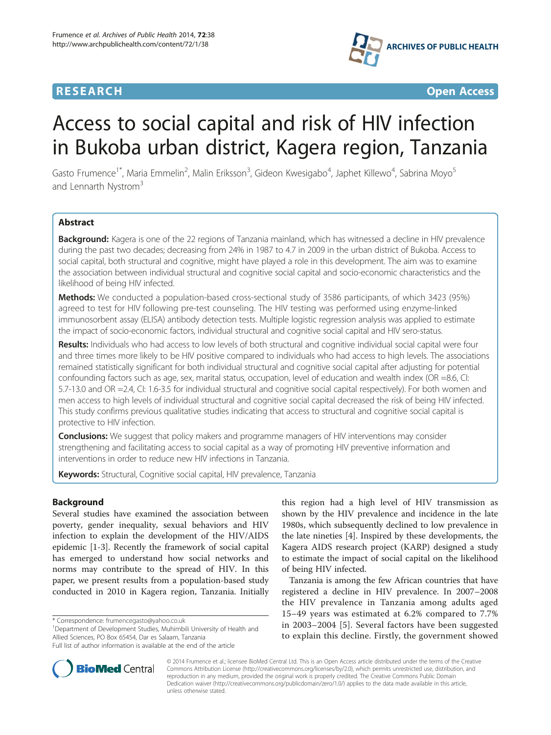

**RESEARCH CHINESE ARCH CHINESE ARCH CHINESE ARCH <b>CHINESE ARCH CHINESE ARCH CHINESE ARCH <b>CHINESE** ARCH **CHINESE ARCH** CHINESE ARCH **CHINESE ARCH 2014** 

# Access to social capital and risk of HIV infection in Bukoba urban district, Kagera region, Tanzania

Gasto Frumence<sup>1\*</sup>, Maria Emmelin<sup>2</sup>, Malin Eriksson<sup>3</sup>, Gideon Kwesigabo<sup>4</sup>, Japhet Killewo<sup>4</sup>, Sabrina Moyo<sup>5</sup> and Lennarth Nystrom<sup>3</sup>

# **Abstract**

Background: Kagera is one of the 22 regions of Tanzania mainland, which has witnessed a decline in HIV prevalence during the past two decades; decreasing from 24% in 1987 to 4.7 in 2009 in the urban district of Bukoba. Access to social capital, both structural and cognitive, might have played a role in this development. The aim was to examine the association between individual structural and cognitive social capital and socio-economic characteristics and the likelihood of being HIV infected.

Methods: We conducted a population-based cross-sectional study of 3586 participants, of which 3423 (95%) agreed to test for HIV following pre-test counseling. The HIV testing was performed using enzyme-linked immunosorbent assay (ELISA) antibody detection tests. Multiple logistic regression analysis was applied to estimate the impact of socio-economic factors, individual structural and cognitive social capital and HIV sero-status.

Results: Individuals who had access to low levels of both structural and cognitive individual social capital were four and three times more likely to be HIV positive compared to individuals who had access to high levels. The associations remained statistically significant for both individual structural and cognitive social capital after adjusting for potential confounding factors such as age, sex, marital status, occupation, level of education and wealth index (OR =8.6, CI: 5.7-13.0 and OR =2.4, CI: 1.6-3.5 for individual structural and cognitive social capital respectively). For both women and men access to high levels of individual structural and cognitive social capital decreased the risk of being HIV infected. This study confirms previous qualitative studies indicating that access to structural and cognitive social capital is protective to HIV infection.

**Conclusions:** We suggest that policy makers and programme managers of HIV interventions may consider strengthening and facilitating access to social capital as a way of promoting HIV preventive information and interventions in order to reduce new HIV infections in Tanzania.

Keywords: Structural, Cognitive social capital, HIV prevalence, Tanzania

# **Background**

Several studies have examined the association between poverty, gender inequality, sexual behaviors and HIV infection to explain the development of the HIV/AIDS epidemic [\[1](#page-9-0)-[3\]](#page-9-0). Recently the framework of social capital has emerged to understand how social networks and norms may contribute to the spread of HIV. In this paper, we present results from a population-based study conducted in 2010 in Kagera region, Tanzania. Initially

\* Correspondence: [frumencegasto@yahoo.co.uk](mailto:frumencegasto@yahoo.co.uk) <sup>1</sup>

<sup>1</sup>Department of Development Studies, Muhimbili University of Health and Allied Sciences, PO Box 65454, Dar es Salaam, Tanzania

this region had a high level of HIV transmission as shown by the HIV prevalence and incidence in the late 1980s, which subsequently declined to low prevalence in the late nineties [[4](#page-9-0)]. Inspired by these developments, the Kagera AIDS research project (KARP) designed a study to estimate the impact of social capital on the likelihood of being HIV infected.

Tanzania is among the few African countries that have registered a decline in HIV prevalence. In 2007–2008 the HIV prevalence in Tanzania among adults aged 15–49 years was estimated at 6.2% compared to 7.7% in 2003–2004 [\[5\]](#page-9-0). Several factors have been suggested to explain this decline. Firstly, the government showed



© 2014 Frumence et al.; licensee BioMed Central Ltd. This is an Open Access article distributed under the terms of the Creative Commons Attribution License [\(http://creativecommons.org/licenses/by/2.0\)](http://creativecommons.org/licenses/by/2.0), which permits unrestricted use, distribution, and reproduction in any medium, provided the original work is properly credited. The Creative Commons Public Domain Dedication waiver [\(http://creativecommons.org/publicdomain/zero/1.0/](http://creativecommons.org/publicdomain/zero/1.0/)) applies to the data made available in this article, unless otherwise stated.

Full list of author information is available at the end of the article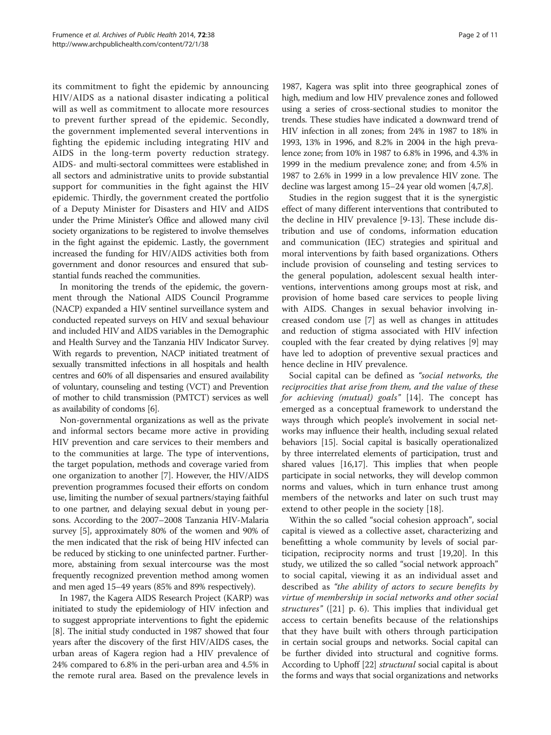its commitment to fight the epidemic by announcing HIV/AIDS as a national disaster indicating a political will as well as commitment to allocate more resources to prevent further spread of the epidemic. Secondly, the government implemented several interventions in fighting the epidemic including integrating HIV and AIDS in the long-term poverty reduction strategy. AIDS- and multi-sectoral committees were established in all sectors and administrative units to provide substantial support for communities in the fight against the HIV epidemic. Thirdly, the government created the portfolio of a Deputy Minister for Disasters and HIV and AIDS under the Prime Minister's Office and allowed many civil society organizations to be registered to involve themselves in the fight against the epidemic. Lastly, the government increased the funding for HIV/AIDS activities both from government and donor resources and ensured that substantial funds reached the communities.

In monitoring the trends of the epidemic, the government through the National AIDS Council Programme (NACP) expanded a HIV sentinel surveillance system and conducted repeated surveys on HIV and sexual behaviour and included HIV and AIDS variables in the Demographic and Health Survey and the Tanzania HIV Indicator Survey. With regards to prevention, NACP initiated treatment of sexually transmitted infections in all hospitals and health centres and 60% of all dispensaries and ensured availability of voluntary, counseling and testing (VCT) and Prevention of mother to child transmission (PMTCT) services as well as availability of condoms [\[6](#page-9-0)].

Non-governmental organizations as well as the private and informal sectors became more active in providing HIV prevention and care services to their members and to the communities at large. The type of interventions, the target population, methods and coverage varied from one organization to another [\[7\]](#page-9-0). However, the HIV/AIDS prevention programmes focused their efforts on condom use, limiting the number of sexual partners/staying faithful to one partner, and delaying sexual debut in young persons. According to the 2007–2008 Tanzania HIV-Malaria survey [\[5](#page-9-0)], approximately 80% of the women and 90% of the men indicated that the risk of being HIV infected can be reduced by sticking to one uninfected partner. Furthermore, abstaining from sexual intercourse was the most frequently recognized prevention method among women and men aged 15–49 years (85% and 89% respectively).

In 1987, the Kagera AIDS Research Project (KARP) was initiated to study the epidemiology of HIV infection and to suggest appropriate interventions to fight the epidemic [[8\]](#page-9-0). The initial study conducted in 1987 showed that four years after the discovery of the first HIV/AIDS cases, the urban areas of Kagera region had a HIV prevalence of 24% compared to 6.8% in the peri-urban area and 4.5% in the remote rural area. Based on the prevalence levels in

1987, Kagera was split into three geographical zones of high, medium and low HIV prevalence zones and followed using a series of cross-sectional studies to monitor the trends. These studies have indicated a downward trend of HIV infection in all zones; from 24% in 1987 to 18% in 1993, 13% in 1996, and 8.2% in 2004 in the high prevalence zone; from 10% in 1987 to 6.8% in 1996, and 4.3% in 1999 in the medium prevalence zone; and from 4.5% in 1987 to 2.6% in 1999 in a low prevalence HIV zone. The decline was largest among 15–24 year old women [\[4,7,8](#page-9-0)].

Studies in the region suggest that it is the synergistic effect of many different interventions that contributed to the decline in HIV prevalence [[9](#page-9-0)-[13\]](#page-9-0). These include distribution and use of condoms, information education and communication (IEC) strategies and spiritual and moral interventions by faith based organizations. Others include provision of counseling and testing services to the general population, adolescent sexual health interventions, interventions among groups most at risk, and provision of home based care services to people living with AIDS. Changes in sexual behavior involving increased condom use [\[7](#page-9-0)] as well as changes in attitudes and reduction of stigma associated with HIV infection coupled with the fear created by dying relatives [[9\]](#page-9-0) may have led to adoption of preventive sexual practices and hence decline in HIV prevalence.

Social capital can be defined as "social networks, the reciprocities that arise from them, and the value of these for achieving (mutual) goals" [\[14](#page-9-0)]. The concept has emerged as a conceptual framework to understand the ways through which people's involvement in social networks may influence their health, including sexual related behaviors [\[15\]](#page-9-0). Social capital is basically operationalized by three interrelated elements of participation, trust and shared values [[16,17](#page-9-0)]. This implies that when people participate in social networks, they will develop common norms and values, which in turn enhance trust among members of the networks and later on such trust may extend to other people in the society [\[18](#page-9-0)].

Within the so called "social cohesion approach", social capital is viewed as a collective asset, characterizing and benefitting a whole community by levels of social participation, reciprocity norms and trust [[19,20\]](#page-9-0). In this study, we utilized the so called "social network approach" to social capital, viewing it as an individual asset and described as "the ability of actors to secure benefits by virtue of membership in social networks and other social structures" ([[21\]](#page-9-0) p. 6). This implies that individual get access to certain benefits because of the relationships that they have built with others through participation in certain social groups and networks. Social capital can be further divided into structural and cognitive forms. According to Uphoff [[22](#page-9-0)] structural social capital is about the forms and ways that social organizations and networks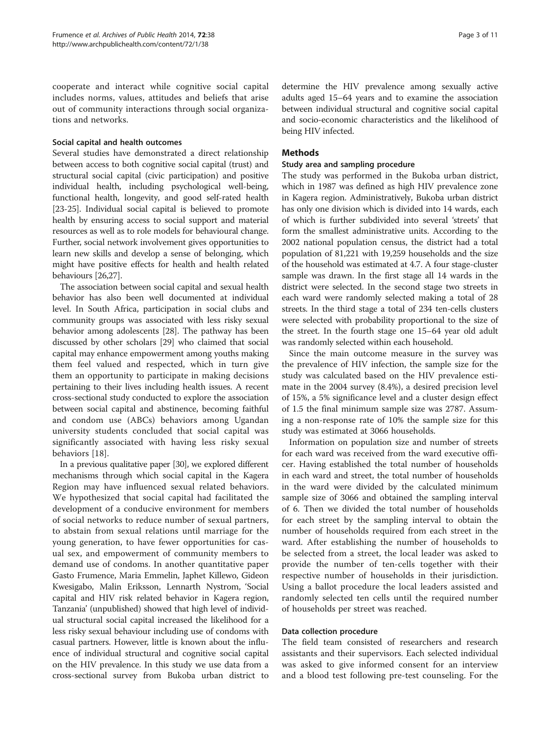cooperate and interact while cognitive social capital includes norms, values, attitudes and beliefs that arise out of community interactions through social organizations and networks.

# Social capital and health outcomes

Several studies have demonstrated a direct relationship between access to both cognitive social capital (trust) and structural social capital (civic participation) and positive individual health, including psychological well-being, functional health, longevity, and good self-rated health [[23](#page-10-0)-[25\]](#page-10-0). Individual social capital is believed to promote health by ensuring access to social support and material resources as well as to role models for behavioural change. Further, social network involvement gives opportunities to learn new skills and develop a sense of belonging, which might have positive effects for health and health related behaviours [[26,27\]](#page-10-0).

The association between social capital and sexual health behavior has also been well documented at individual level. In South Africa, participation in social clubs and community groups was associated with less risky sexual behavior among adolescents [[28](#page-10-0)]. The pathway has been discussed by other scholars [\[29\]](#page-10-0) who claimed that social capital may enhance empowerment among youths making them feel valued and respected, which in turn give them an opportunity to participate in making decisions pertaining to their lives including health issues. A recent cross-sectional study conducted to explore the association between social capital and abstinence, becoming faithful and condom use (ABCs) behaviors among Ugandan university students concluded that social capital was significantly associated with having less risky sexual behaviors [\[18](#page-9-0)].

In a previous qualitative paper [[30](#page-10-0)], we explored different mechanisms through which social capital in the Kagera Region may have influenced sexual related behaviors. We hypothesized that social capital had facilitated the development of a conducive environment for members of social networks to reduce number of sexual partners, to abstain from sexual relations until marriage for the young generation, to have fewer opportunities for casual sex, and empowerment of community members to demand use of condoms. In another quantitative paper Gasto Frumence, Maria Emmelin, Japhet Killewo, Gideon Kwesigabo, Malin Eriksson, Lennarth Nystrom, 'Social capital and HIV risk related behavior in Kagera region, Tanzania' (unpublished) showed that high level of individual structural social capital increased the likelihood for a less risky sexual behaviour including use of condoms with casual partners. However, little is known about the influence of individual structural and cognitive social capital on the HIV prevalence. In this study we use data from a cross-sectional survey from Bukoba urban district to

determine the HIV prevalence among sexually active adults aged 15–64 years and to examine the association between individual structural and cognitive social capital and socio-economic characteristics and the likelihood of being HIV infected.

# Methods

# Study area and sampling procedure

The study was performed in the Bukoba urban district, which in 1987 was defined as high HIV prevalence zone in Kagera region. Administratively, Bukoba urban district has only one division which is divided into 14 wards, each of which is further subdivided into several 'streets' that form the smallest administrative units. According to the 2002 national population census, the district had a total population of 81,221 with 19,259 households and the size of the household was estimated at 4.7. A four stage-cluster sample was drawn. In the first stage all 14 wards in the district were selected. In the second stage two streets in each ward were randomly selected making a total of 28 streets. In the third stage a total of 234 ten-cells clusters were selected with probability proportional to the size of the street. In the fourth stage one 15–64 year old adult was randomly selected within each household.

Since the main outcome measure in the survey was the prevalence of HIV infection, the sample size for the study was calculated based on the HIV prevalence estimate in the 2004 survey (8.4%), a desired precision level of 15%, a 5% significance level and a cluster design effect of 1.5 the final minimum sample size was 2787. Assuming a non-response rate of 10% the sample size for this study was estimated at 3066 households.

Information on population size and number of streets for each ward was received from the ward executive officer. Having established the total number of households in each ward and street, the total number of households in the ward were divided by the calculated minimum sample size of 3066 and obtained the sampling interval of 6. Then we divided the total number of households for each street by the sampling interval to obtain the number of households required from each street in the ward. After establishing the number of households to be selected from a street, the local leader was asked to provide the number of ten-cells together with their respective number of households in their jurisdiction. Using a ballot procedure the local leaders assisted and randomly selected ten cells until the required number of households per street was reached.

#### Data collection procedure

The field team consisted of researchers and research assistants and their supervisors. Each selected individual was asked to give informed consent for an interview and a blood test following pre-test counseling. For the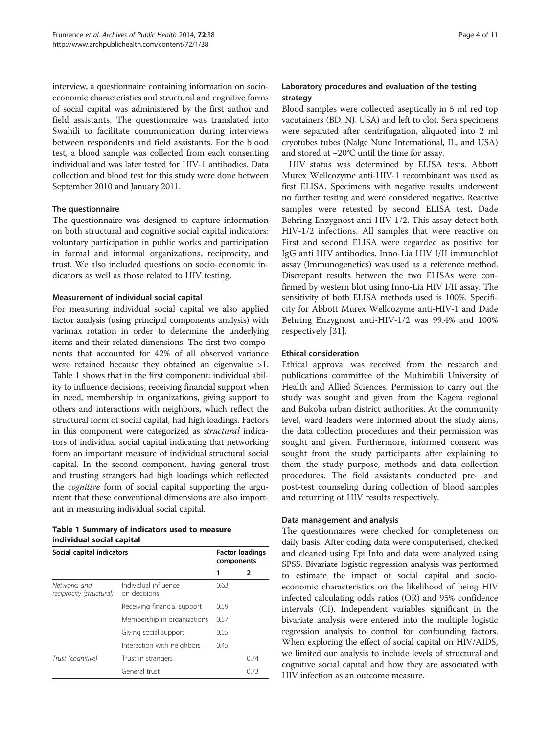interview, a questionnaire containing information on socioeconomic characteristics and structural and cognitive forms of social capital was administered by the first author and field assistants. The questionnaire was translated into Swahili to facilitate communication during interviews between respondents and field assistants. For the blood test, a blood sample was collected from each consenting individual and was later tested for HIV-1 antibodies. Data collection and blood test for this study were done between September 2010 and January 2011.

# The questionnaire

The questionnaire was designed to capture information on both structural and cognitive social capital indicators: voluntary participation in public works and participation in formal and informal organizations, reciprocity, and trust. We also included questions on socio-economic indicators as well as those related to HIV testing.

# Measurement of individual social capital

For measuring individual social capital we also applied factor analysis (using principal components analysis) with varimax rotation in order to determine the underlying items and their related dimensions. The first two components that accounted for 42% of all observed variance were retained because they obtained an eigenvalue >1. Table 1 shows that in the first component: individual ability to influence decisions, receiving financial support when in need, membership in organizations, giving support to others and interactions with neighbors, which reflect the structural form of social capital, had high loadings. Factors in this component were categorized as structural indicators of individual social capital indicating that networking form an important measure of individual structural social capital. In the second component, having general trust and trusting strangers had high loadings which reflected the cognitive form of social capital supporting the argument that these conventional dimensions are also important in measuring individual social capital.

# Table 1 Summary of indicators used to measure individual social capital

| Social capital indicators                |                                      |      | <b>Factor loadings</b><br>components |  |  |
|------------------------------------------|--------------------------------------|------|--------------------------------------|--|--|
|                                          |                                      | 1    | 2                                    |  |  |
| Networks and<br>reciprocity (structural) | Individual influence<br>on decisions | 0.63 |                                      |  |  |
|                                          | Receiving financial support          | 0.59 |                                      |  |  |
|                                          | Membership in organizations          | 0.57 |                                      |  |  |
|                                          | Giving social support                | 0.55 |                                      |  |  |
|                                          | Interaction with neighbors           | 0.45 |                                      |  |  |
| Trust (cognitive)                        | Trust in strangers                   |      | 0.74                                 |  |  |
|                                          | General trust                        |      | 0.73                                 |  |  |

# Laboratory procedures and evaluation of the testing strategy

Blood samples were collected aseptically in 5 ml red top vacutainers (BD, NJ, USA) and left to clot. Sera specimens were separated after centrifugation, aliquoted into 2 ml cryotubes tubes (Nalge Nunc International, IL, and USA) and stored at −20°C until the time for assay.

HIV status was determined by ELISA tests. Abbott Murex Wellcozyme anti-HIV-1 recombinant was used as first ELISA. Specimens with negative results underwent no further testing and were considered negative. Reactive samples were retested by second ELISA test, Dade Behring Enzygnost anti-HIV-1/2. This assay detect both HIV-1/2 infections. All samples that were reactive on First and second ELISA were regarded as positive for IgG anti HIV antibodies. Inno-Lia HIV I/II immunoblot assay (Immunogenetics) was used as a reference method. Discrepant results between the two ELISAs were confirmed by western blot using Inno-Lia HIV I/II assay. The sensitivity of both ELISA methods used is 100%. Specificity for Abbott Murex Wellcozyme anti-HIV-1 and Dade Behring Enzygnost anti-HIV-1/2 was 99.4% and 100% respectively [[31\]](#page-10-0).

# Ethical consideration

Ethical approval was received from the research and publications committee of the Muhimbili University of Health and Allied Sciences. Permission to carry out the study was sought and given from the Kagera regional and Bukoba urban district authorities. At the community level, ward leaders were informed about the study aims, the data collection procedures and their permission was sought and given. Furthermore, informed consent was sought from the study participants after explaining to them the study purpose, methods and data collection procedures. The field assistants conducted pre- and post-test counseling during collection of blood samples and returning of HIV results respectively.

#### Data management and analysis

The questionnaires were checked for completeness on daily basis. After coding data were computerised, checked and cleaned using Epi Info and data were analyzed using SPSS. Bivariate logistic regression analysis was performed to estimate the impact of social capital and socioeconomic characteristics on the likelihood of being HIV infected calculating odds ratios (OR) and 95% confidence intervals (CI). Independent variables significant in the bivariate analysis were entered into the multiple logistic regression analysis to control for confounding factors. When exploring the effect of social capital on HIV/AIDS, we limited our analysis to include levels of structural and cognitive social capital and how they are associated with HIV infection as an outcome measure.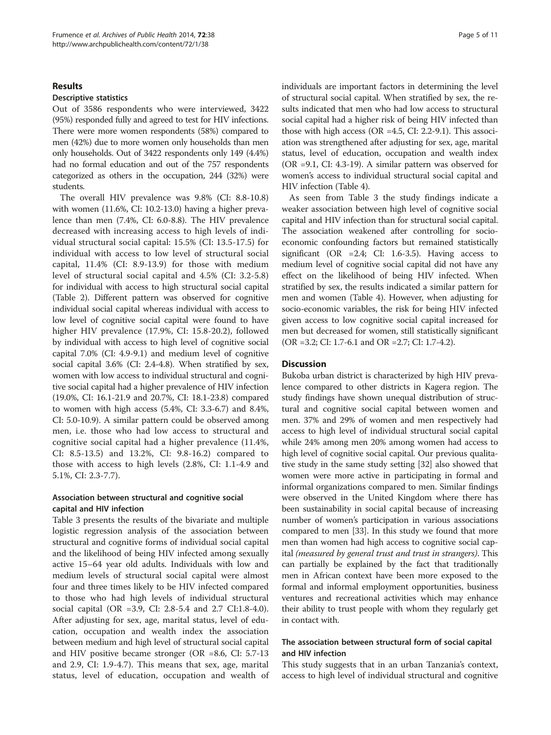# Results

#### Descriptive statistics

Out of 3586 respondents who were interviewed, 3422 (95%) responded fully and agreed to test for HIV infections. There were more women respondents (58%) compared to men (42%) due to more women only households than men only households. Out of 3422 respondents only 149 (4.4%) had no formal education and out of the 757 respondents categorized as others in the occupation, 244 (32%) were students.

The overall HIV prevalence was 9.8% (CI: 8.8-10.8) with women (11.6%, CI: 10.2-13.0) having a higher prevalence than men (7.4%, CI: 6.0-8.8). The HIV prevalence decreased with increasing access to high levels of individual structural social capital: 15.5% (CI: 13.5-17.5) for individual with access to low level of structural social capital, 11.4% (CI: 8.9-13.9) for those with medium level of structural social capital and 4.5% (CI: 3.2-5.8) for individual with access to high structural social capital (Table [2\)](#page-5-0). Different pattern was observed for cognitive individual social capital whereas individual with access to low level of cognitive social capital were found to have higher HIV prevalence (17.9%, CI: 15.8-20.2), followed by individual with access to high level of cognitive social capital 7.0% (CI: 4.9-9.1) and medium level of cognitive social capital 3.6% (CI: 2.4-4.8). When stratified by sex, women with low access to individual structural and cognitive social capital had a higher prevalence of HIV infection (19.0%, CI: 16.1-21.9 and 20.7%, CI: 18.1-23.8) compared to women with high access (5.4%, CI: 3.3-6.7) and 8.4%, CI: 5.0-10.9). A similar pattern could be observed among men, i.e. those who had low access to structural and cognitive social capital had a higher prevalence (11.4%, CI: 8.5-13.5) and 13.2%, CI: 9.8-16.2) compared to those with access to high levels (2.8%, CI: 1.1-4.9 and 5.1%, CI: 2.3-7.7).

# Association between structural and cognitive social capital and HIV infection

Table [3](#page-6-0) presents the results of the bivariate and multiple logistic regression analysis of the association between structural and cognitive forms of individual social capital and the likelihood of being HIV infected among sexually active 15–64 year old adults. Individuals with low and medium levels of structural social capital were almost four and three times likely to be HIV infected compared to those who had high levels of individual structural social capital (OR =3.9, CI: 2.8-5.4 and 2.7 CI:1.8-4.0). After adjusting for sex, age, marital status, level of education, occupation and wealth index the association between medium and high level of structural social capital and HIV positive became stronger (OR =8.6, CI: 5.7-13 and 2.9, CI: 1.9-4.7). This means that sex, age, marital status, level of education, occupation and wealth of individuals are important factors in determining the level of structural social capital. When stratified by sex, the results indicated that men who had low access to structural social capital had a higher risk of being HIV infected than those with high access (OR =4.5, CI: 2.2-9.1). This association was strengthened after adjusting for sex, age, marital status, level of education, occupation and wealth index (OR =9.1, CI: 4.3-19). A similar pattern was observed for women's access to individual structural social capital and HIV infection (Table [4\)](#page-7-0).

As seen from Table [3](#page-6-0) the study findings indicate a weaker association between high level of cognitive social capital and HIV infection than for structural social capital. The association weakened after controlling for socioeconomic confounding factors but remained statistically significant (OR = 2.4; CI: 1.6-3.5). Having access to medium level of cognitive social capital did not have any effect on the likelihood of being HIV infected. When stratified by sex, the results indicated a similar pattern for men and women (Table [4\)](#page-7-0). However, when adjusting for socio-economic variables, the risk for being HIV infected given access to low cognitive social capital increased for men but decreased for women, still statistically significant (OR =3.2; CI: 1.7-6.1 and OR =2.7; CI: 1.7-4.2).

# **Discussion**

Bukoba urban district is characterized by high HIV prevalence compared to other districts in Kagera region. The study findings have shown unequal distribution of structural and cognitive social capital between women and men. 37% and 29% of women and men respectively had access to high level of individual structural social capital while 24% among men 20% among women had access to high level of cognitive social capital. Our previous qualitative study in the same study setting [[32](#page-10-0)] also showed that women were more active in participating in formal and informal organizations compared to men. Similar findings were observed in the United Kingdom where there has been sustainability in social capital because of increasing number of women's participation in various associations compared to men [[33\]](#page-10-0). In this study we found that more men than women had high access to cognitive social capital (measured by general trust and trust in strangers). This can partially be explained by the fact that traditionally men in African context have been more exposed to the formal and informal employment opportunities, business ventures and recreational activities which may enhance their ability to trust people with whom they regularly get in contact with.

# The association between structural form of social capital and HIV infection

This study suggests that in an urban Tanzania's context, access to high level of individual structural and cognitive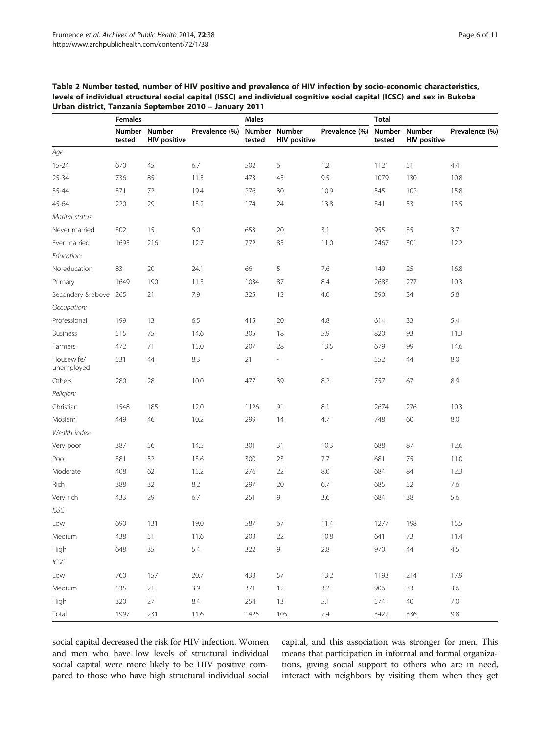<span id="page-5-0"></span>

| Table 2 Number tested, number of HIV positive and prevalence of HIV infection by socio-economic characteristics,       |
|------------------------------------------------------------------------------------------------------------------------|
| levels of individual structural social capital (ISSC) and individual cognitive social capital (ICSC) and sex in Bukoba |
| Urban district, Tanzania September 2010 - January 2011                                                                 |

|                          | <b>Females</b>   |                               |                | <b>Males</b>     |                               |                          | <b>Total</b>     |                               |                |
|--------------------------|------------------|-------------------------------|----------------|------------------|-------------------------------|--------------------------|------------------|-------------------------------|----------------|
|                          | Number<br>tested | Number<br><b>HIV positive</b> | Prevalence (%) | Number<br>tested | Number<br><b>HIV positive</b> | Prevalence (%)           | Number<br>tested | Number<br><b>HIV positive</b> | Prevalence (%) |
| Age                      |                  |                               |                |                  |                               |                          |                  |                               |                |
| $15 - 24$                | 670              | 45                            | 6.7            | 502              | 6                             | 1.2                      | 1121             | 51                            | 4.4            |
| 25-34                    | 736              | 85                            | 11.5           | 473              | 45                            | 9.5                      | 1079             | 130                           | 10.8           |
| 35-44                    | 371              | 72                            | 19.4           | 276              | 30                            | 10.9                     | 545              | 102                           | 15.8           |
| 45-64                    | 220              | 29                            | 13.2           | 174              | 24                            | 13.8                     | 341              | 53                            | 13.5           |
| Marital status:          |                  |                               |                |                  |                               |                          |                  |                               |                |
| Never married            | 302              | 15                            | 5.0            | 653              | 20                            | 3.1                      | 955              | 35                            | 3.7            |
| Ever married             | 1695             | 216                           | 12.7           | 772              | 85                            | 11.0                     | 2467             | 301                           | 12.2           |
| Education:               |                  |                               |                |                  |                               |                          |                  |                               |                |
| No education             | 83               | $20\,$                        | 24.1           | 66               | 5                             | 7.6                      | 149              | 25                            | 16.8           |
| Primary                  | 1649             | 190                           | 11.5           | 1034             | 87                            | 8.4                      | 2683             | 277                           | 10.3           |
| Secondary & above        | 265              | 21                            | 7.9            | 325              | 13                            | 4.0                      | 590              | 34                            | 5.8            |
| Occupation:              |                  |                               |                |                  |                               |                          |                  |                               |                |
| Professional             | 199              | 13                            | 6.5            | 415              | 20                            | 4.8                      | 614              | 33                            | 5.4            |
| <b>Business</b>          | 515              | 75                            | 14.6           | 305              | 18                            | 5.9                      | 820              | 93                            | 11.3           |
| Farmers                  | 472              | 71                            | 15.0           | 207              | 28                            | 13.5                     | 679              | 99                            | 14.6           |
| Housewife/<br>unemployed | 531              | 44                            | 8.3            | 21               | $\overline{\phantom{a}}$      | $\overline{\phantom{a}}$ | 552              | 44                            | 8.0            |
| Others                   | 280              | 28                            | 10.0           | 477              | 39                            | 8.2                      | 757              | 67                            | 8.9            |
| Religion:                |                  |                               |                |                  |                               |                          |                  |                               |                |
| Christian                | 1548             | 185                           | 12.0           | 1126             | 91                            | 8.1                      | 2674             | 276                           | 10.3           |
| Moslem                   | 449              | 46                            | 10.2           | 299              | 14                            | 4.7                      | 748              | 60                            | $8.0\,$        |
| Wealth index:            |                  |                               |                |                  |                               |                          |                  |                               |                |
| Very poor                | 387              | 56                            | 14.5           | 301              | 31                            | 10.3                     | 688              | 87                            | 12.6           |
| Poor                     | 381              | 52                            | 13.6           | 300              | 23                            | 7.7                      | 681              | 75                            | 11.0           |
| Moderate                 | 408              | 62                            | 15.2           | 276              | 22                            | 8.0                      | 684              | 84                            | 12.3           |
| Rich                     | 388              | 32                            | 8.2            | 297              | 20                            | 6.7                      | 685              | 52                            | 7.6            |
| Very rich                | 433              | 29                            | 6.7            | 251              | 9                             | 3.6                      | 684              | 38                            | 5.6            |
| <b>ISSC</b>              |                  |                               |                |                  |                               |                          |                  |                               |                |
| Low                      | 690              | 131                           | 19.0           | 587              | 67                            | 11.4                     | 1277             | 198                           | 15.5           |
| Medium                   | 438              | 51                            | 11.6           | 203              | 22                            | 10.8                     | 641              | 73                            | 11.4           |
| High                     | 648              | 35                            | 5.4            | 322              | 9                             | $2.8\,$                  | 970              | 44                            | $4.5\,$        |
| ICSC                     |                  |                               |                |                  |                               |                          |                  |                               |                |
| Low                      | 760              | 157                           | 20.7           | 433              | 57                            | 13.2                     | 1193             | 214                           | 17.9           |
| Medium                   | 535              | 21                            | 3.9            | 371              | 12                            | 3.2                      | 906              | 33                            | 3.6            |
| High                     | 320              | 27                            | 8.4            | 254              | 13                            | $5.1\,$                  | 574              | $40\,$                        | $7.0\,$        |
| Total                    | 1997             | 231                           | 11.6           | 1425             | 105                           | 7.4                      | 3422             | 336                           | 9.8            |

social capital decreased the risk for HIV infection. Women and men who have low levels of structural individual social capital were more likely to be HIV positive compared to those who have high structural individual social capital, and this association was stronger for men. This means that participation in informal and formal organizations, giving social support to others who are in need, interact with neighbors by visiting them when they get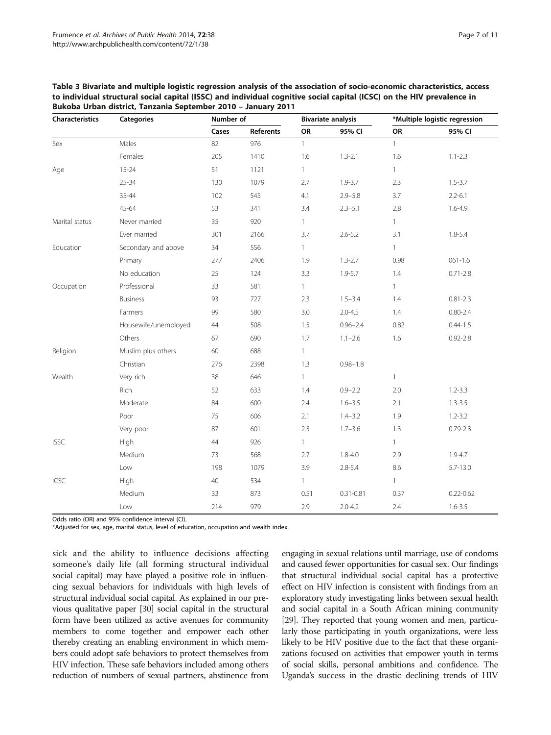<span id="page-6-0"></span>

| Table 3 Bivariate and multiple logistic regression analysis of the association of socio-economic characteristics, access |
|--------------------------------------------------------------------------------------------------------------------------|
| to individual structural social capital (ISSC) and individual cognitive social capital (ICSC) on the HIV prevalence in   |
| Bukoba Urban district, Tanzania September 2010 - January 2011                                                            |

| Characteristics | <b>Categories</b>    | Number of |           | <b>Bivariate analysis</b> |               | *Multiple logistic regression |               |
|-----------------|----------------------|-----------|-----------|---------------------------|---------------|-------------------------------|---------------|
|                 |                      | Cases     | Referents | OR                        | 95% CI        | OR                            | 95% CI        |
| Sex             | Males                | 82        | 976       | 1                         |               | $\mathbf{1}$                  |               |
|                 | Females              | 205       | 1410      | 1.6                       | $1.3 - 2.1$   | 1.6                           | $1.1 - 2.3$   |
| Age             | $15 - 24$            | 51        | 1121      | $\mathbf{1}$              |               | $\mathbf{1}$                  |               |
|                 | $25 - 34$            | 130       | 1079      | 2.7                       | $1.9 - 3.7$   | 2.3                           | $1.5 - 3.7$   |
|                 | 35-44                | 102       | 545       | 4.1                       | $2.9 - 5.8$   | 3.7                           | $2.2 - 6.1$   |
|                 | 45-64                | 53        | 341       | 3.4                       | $2.3 - 5.1$   | 2.8                           | $1.6 - 4.9$   |
| Marital status  | Never married        | 35        | 920       | $\mathbf{1}$              |               | $\mathbf{1}$                  |               |
|                 | Ever married         | 301       | 2166      | 3.7                       | $2.6 - 5.2$   | 3.1                           | $1.8 - 5.4$   |
| Education       | Secondary and above  | 34        | 556       | $\mathbf{1}$              |               | $\mathbf{1}$                  |               |
|                 | Primary              | 277       | 2406      | 1.9                       | $1.3 - 2.7$   | 0.98                          | $061 - 1.6$   |
|                 | No education         | 25        | 124       | 3.3                       | $1.9 - 5.7$   | 1.4                           | $0.71 - 2.8$  |
| Occupation      | Professional         | 33        | 581       | $\mathbf{1}$              |               | $\mathbf{1}$                  |               |
|                 | <b>Business</b>      | 93        | 727       | 2.3                       | $1.5 - 3.4$   | 1.4                           | $0.81 - 2.3$  |
|                 | Farmers              | 99        | 580       | 3.0                       | $2.0 - 4.5$   | 1.4                           | $0.80 - 2.4$  |
|                 | Housewife/unemployed | 44        | 508       | 1.5                       | $0.96 - 2.4$  | 0.82                          | $0.44 - 1.5$  |
|                 | Others               | 67        | 690       | 1.7                       | $1.1 - 2.6$   | 1.6                           | $0.92 - 2.8$  |
| Religion        | Muslim plus others   | 60        | 688       | $\mathbf{1}$              |               |                               |               |
|                 | Christian            | 276       | 2398      | 1.3                       | $0.98 - 1.8$  |                               |               |
| Wealth          | Very rich            | 38        | 646       | $\mathbf{1}$              |               | $\mathbf{1}$                  |               |
|                 | Rich                 | 52        | 633       | 1.4                       | $0.9 - 2.2$   | $2.0\,$                       | $1.2 - 3.3$   |
|                 | Moderate             | 84        | 600       | 2.4                       | $1.6 - 3.5$   | 2.1                           | $1.3 - 3.5$   |
|                 | Poor                 | 75        | 606       | 2.1                       | $1.4 - 3.2$   | 1.9                           | $1.2 - 3.2$   |
|                 | Very poor            | 87        | 601       | 2.5                       | $1.7 - 3.6$   | 1.3                           | $0.79 - 2.3$  |
| <b>ISSC</b>     | High                 | 44        | 926       | $\mathbf{1}$              |               | $\mathbf{1}$                  |               |
|                 | Medium               | 73        | 568       | 2.7                       | $1.8 - 4.0$   | 2.9                           | $1.9 - 4.7$   |
|                 | Low                  | 198       | 1079      | 3.9                       | $2.8 - 5.4$   | 8.6                           | $5.7 - 13.0$  |
| ICSC            | High                 | $40\,$    | 534       | 1                         |               | $\mathbf{1}$                  |               |
|                 | Medium               | 33        | 873       | 0.51                      | $0.31 - 0.81$ | 0.37                          | $0.22 - 0.62$ |
|                 | Low                  | 214       | 979       | 2.9                       | $2.0 - 4.2$   | 2.4                           | $1.6 - 3.5$   |

Odds ratio (OR) and 95% confidence interval (CI).

\*Adjusted for sex, age, marital status, level of education, occupation and wealth index.

sick and the ability to influence decisions affecting someone's daily life (all forming structural individual social capital) may have played a positive role in influencing sexual behaviors for individuals with high levels of structural individual social capital. As explained in our previous qualitative paper [\[30](#page-10-0)] social capital in the structural form have been utilized as active avenues for community members to come together and empower each other thereby creating an enabling environment in which members could adopt safe behaviors to protect themselves from HIV infection. These safe behaviors included among others reduction of numbers of sexual partners, abstinence from

engaging in sexual relations until marriage, use of condoms and caused fewer opportunities for casual sex. Our findings that structural individual social capital has a protective effect on HIV infection is consistent with findings from an exploratory study investigating links between sexual health and social capital in a South African mining community [[29](#page-10-0)]. They reported that young women and men, particularly those participating in youth organizations, were less likely to be HIV positive due to the fact that these organizations focused on activities that empower youth in terms of social skills, personal ambitions and confidence. The Uganda's success in the drastic declining trends of HIV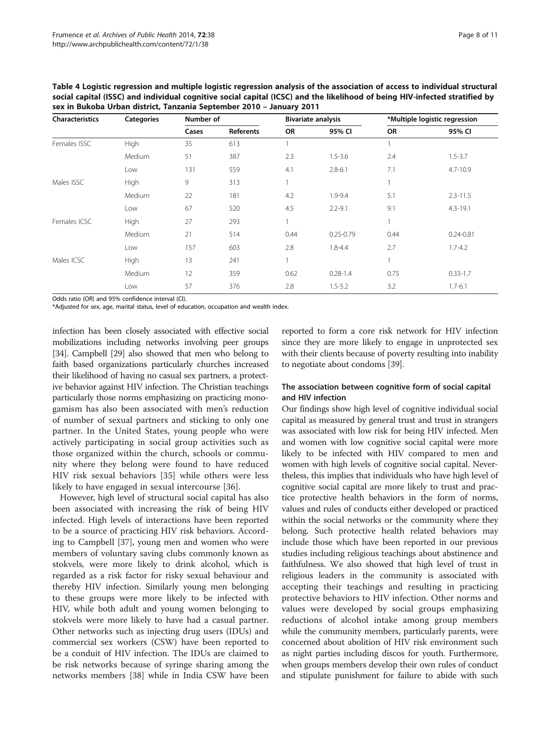<span id="page-7-0"></span>

| Table 4 Logistic regression and multiple logistic regression analysis of the association of access to individual structural |
|-----------------------------------------------------------------------------------------------------------------------------|
| social capital (ISSC) and individual cognitive social capital (ICSC) and the likelihood of being HIV-infected stratified by |
| sex in Bukoba Urban district, Tanzania September 2010 - January 2011                                                        |

| <b>Characteristics</b> | <b>Categories</b> | Number of |                  | <b>Bivariate analysis</b> |               | *Multiple logistic regression |               |
|------------------------|-------------------|-----------|------------------|---------------------------|---------------|-------------------------------|---------------|
|                        |                   | Cases     | <b>Referents</b> | OR                        | 95% CI        | OR                            | 95% CI        |
| Females ISSC           | High              | 35        | 613              |                           |               |                               |               |
|                        | Medium            | 51        | 387              | 2.3                       | $1.5 - 3.6$   | 2.4                           | $1.5 - 3.7$   |
|                        | Low               | 131       | 559              | 4.1                       | $2.8 - 6.1$   | 7.1                           | $4.7 - 10.9$  |
| Males ISSC             | High              | 9         | 313              |                           |               |                               |               |
|                        | Medium            | 22        | 181              | 4.2                       | $1.9 - 9.4$   | 5.1                           | $2.3 - 11.5$  |
|                        | Low               | 67        | 520              | 4.5                       | $2.2 - 9.1$   | 9.1                           | $4.3 - 19.1$  |
| Females ICSC           | High              | 27        | 293              |                           |               |                               |               |
|                        | Medium            | 21        | 514              | 0.44                      | $0.25 - 0.79$ | 0.44                          | $0.24 - 0.81$ |
|                        | Low               | 157       | 603              | 2.8                       | $1.8 - 4.4$   | 2.7                           | $1.7 - 4.2$   |
| Males ICSC             | <b>High</b>       | 13        | 241              |                           |               |                               |               |
|                        | Medium            | 12        | 359              | 0.62                      | $0.28 - 1.4$  | 0.75                          | $0.33 - 1.7$  |
|                        | Low               | 57        | 376              | 2.8                       | $1.5 - 5.2$   | 3.2                           | $1.7 - 6.1$   |

Odds ratio (OR) and 95% confidence interval (CI).

\*Adjusted for sex, age, marital status, level of education, occupation and wealth index.

infection has been closely associated with effective social mobilizations including networks involving peer groups [[34](#page-10-0)]. Campbell [[29](#page-10-0)] also showed that men who belong to faith based organizations particularly churches increased their likelihood of having no casual sex partners, a protective behavior against HIV infection. The Christian teachings particularly those norms emphasizing on practicing monogamism has also been associated with men's reduction of number of sexual partners and sticking to only one partner. In the United States, young people who were actively participating in social group activities such as those organized within the church, schools or community where they belong were found to have reduced HIV risk sexual behaviors [[35\]](#page-10-0) while others were less likely to have engaged in sexual intercourse [[36](#page-10-0)].

However, high level of structural social capital has also been associated with increasing the risk of being HIV infected. High levels of interactions have been reported to be a source of practicing HIV risk behaviors. According to Campbell [\[37](#page-10-0)], young men and women who were members of voluntary saving clubs commonly known as stokvels, were more likely to drink alcohol, which is regarded as a risk factor for risky sexual behaviour and thereby HIV infection. Similarly young men belonging to these groups were more likely to be infected with HIV, while both adult and young women belonging to stokvels were more likely to have had a casual partner. Other networks such as injecting drug users (IDUs) and commercial sex workers (CSW) have been reported to be a conduit of HIV infection. The IDUs are claimed to be risk networks because of syringe sharing among the networks members [\[38](#page-10-0)] while in India CSW have been reported to form a core risk network for HIV infection since they are more likely to engage in unprotected sex with their clients because of poverty resulting into inability to negotiate about condoms [\[39\]](#page-10-0).

# The association between cognitive form of social capital and HIV infection

Our findings show high level of cognitive individual social capital as measured by general trust and trust in strangers was associated with low risk for being HIV infected. Men and women with low cognitive social capital were more likely to be infected with HIV compared to men and women with high levels of cognitive social capital. Nevertheless, this implies that individuals who have high level of cognitive social capital are more likely to trust and practice protective health behaviors in the form of norms, values and rules of conducts either developed or practiced within the social networks or the community where they belong. Such protective health related behaviors may include those which have been reported in our previous studies including religious teachings about abstinence and faithfulness. We also showed that high level of trust in religious leaders in the community is associated with accepting their teachings and resulting in practicing protective behaviors to HIV infection. Other norms and values were developed by social groups emphasizing reductions of alcohol intake among group members while the community members, particularly parents, were concerned about abolition of HIV risk environment such as night parties including discos for youth. Furthermore, when groups members develop their own rules of conduct and stipulate punishment for failure to abide with such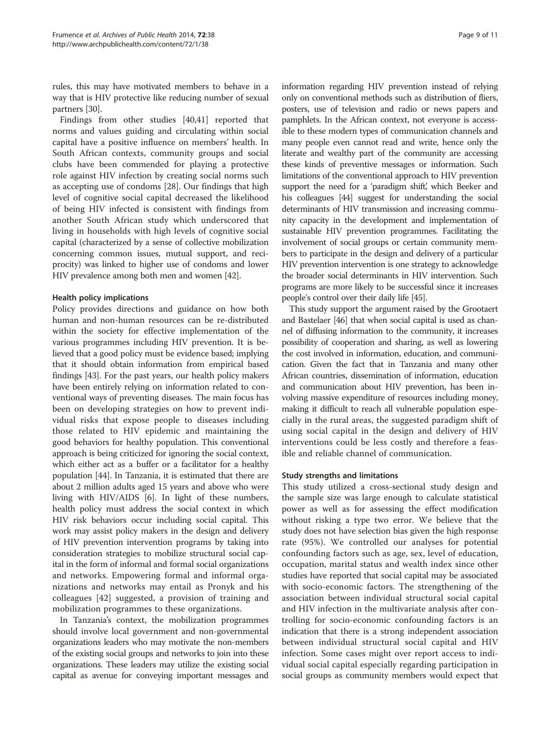rules, this may have motivated members to behave in a way that is HIV protective like reducing number of sexual partners [\[30](#page-10-0)].

Findings from other studies [[40](#page-10-0),[41](#page-10-0)] reported that norms and values guiding and circulating within social capital have a positive influence on members' health. In South African contexts, community groups and social clubs have been commended for playing a protective role against HIV infection by creating social norms such as accepting use of condoms [\[28](#page-10-0)]. Our findings that high level of cognitive social capital decreased the likelihood of being HIV infected is consistent with findings from another South African study which underscored that living in households with high levels of cognitive social capital (characterized by a sense of collective mobilization concerning common issues, mutual support, and reciprocity) was linked to higher use of condoms and lower HIV prevalence among both men and women [[42\]](#page-10-0).

# Health policy implications

Policy provides directions and guidance on how both human and non-human resources can be re-distributed within the society for effective implementation of the various programmes including HIV prevention. It is believed that a good policy must be evidence based; implying that it should obtain information from empirical based findings [[43](#page-10-0)]. For the past years, our health policy makers have been entirely relying on information related to conventional ways of preventing diseases. The main focus has been on developing strategies on how to prevent individual risks that expose people to diseases including those related to HIV epidemic and maintaining the good behaviors for healthy population. This conventional approach is being criticized for ignoring the social context, which either act as a buffer or a facilitator for a healthy population [\[44\]](#page-10-0). In Tanzania, it is estimated that there are about 2 million adults aged 15 years and above who were living with HIV/AIDS [\[6](#page-9-0)]. In light of these numbers, health policy must address the social context in which HIV risk behaviors occur including social capital. This work may assist policy makers in the design and delivery of HIV prevention intervention programs by taking into consideration strategies to mobilize structural social capital in the form of informal and formal social organizations and networks. Empowering formal and informal organizations and networks may entail as Pronyk and his colleagues [\[42](#page-10-0)] suggested, a provision of training and mobilization programmes to these organizations.

In Tanzania's context, the mobilization programmes should involve local government and non-governmental organizations leaders who may motivate the non-members of the existing social groups and networks to join into these organizations. These leaders may utilize the existing social capital as avenue for conveying important messages and information regarding HIV prevention instead of relying only on conventional methods such as distribution of fliers, posters, use of television and radio or news papers and pamphlets. In the African context, not everyone is accessible to these modern types of communication channels and many people even cannot read and write, hence only the literate and wealthy part of the community are accessing these kinds of preventive messages or information. Such limitations of the conventional approach to HIV prevention support the need for a 'paradigm shift', which Beeker and his colleagues [\[44\]](#page-10-0) suggest for understanding the social determinants of HIV transmission and increasing community capacity in the development and implementation of sustainable HIV prevention programmes. Facilitating the involvement of social groups or certain community members to participate in the design and delivery of a particular HIV prevention intervention is one strategy to acknowledge the broader social determinants in HIV intervention. Such programs are more likely to be successful since it increases people's control over their daily life [\[45\]](#page-10-0).

This study support the argument raised by the Grootaert and Bastelaer [[46\]](#page-10-0) that when social capital is used as channel of diffusing information to the community, it increases possibility of cooperation and sharing, as well as lowering the cost involved in information, education, and communication. Given the fact that in Tanzania and many other African countries, dissemination of information, education and communication about HIV prevention, has been involving massive expenditure of resources including money, making it difficult to reach all vulnerable population especially in the rural areas, the suggested paradigm shift of using social capital in the design and delivery of HIV interventions could be less costly and therefore a feasible and reliable channel of communication.

#### Study strengths and limitations

This study utilized a cross-sectional study design and the sample size was large enough to calculate statistical power as well as for assessing the effect modification without risking a type two error. We believe that the study does not have selection bias given the high response rate (95%). We controlled our analyses for potential confounding factors such as age, sex, level of education, occupation, marital status and wealth index since other studies have reported that social capital may be associated with socio-economic factors. The strengthening of the association between individual structural social capital and HIV infection in the multivariate analysis after controlling for socio-economic confounding factors is an indication that there is a strong independent association between individual structural social capital and HIV infection. Some cases might over report access to individual social capital especially regarding participation in social groups as community members would expect that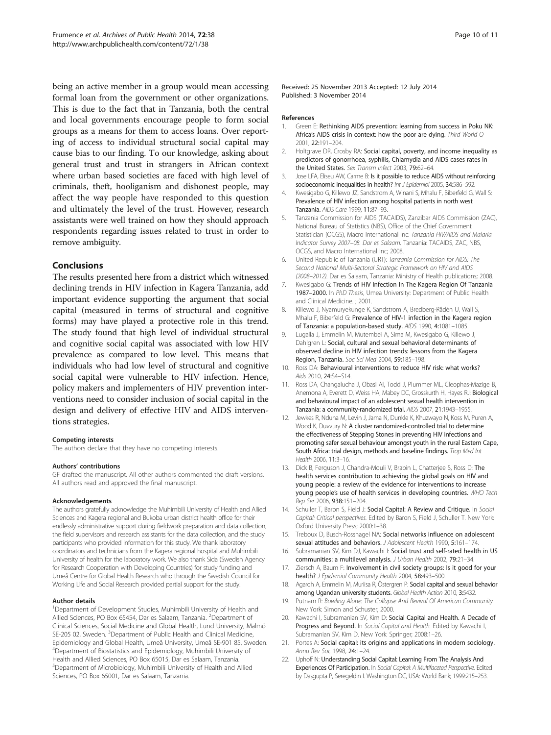<span id="page-9-0"></span>being an active member in a group would mean accessing formal loan from the government or other organizations. This is due to the fact that in Tanzania, both the central and local governments encourage people to form social groups as a means for them to access loans. Over reporting of access to individual structural social capital may cause bias to our finding. To our knowledge, asking about general trust and trust in strangers in African context where urban based societies are faced with high level of criminals, theft, hooliganism and dishonest people, may affect the way people have responded to this question and ultimately the level of the trust. However, research assistants were well trained on how they should approach respondents regarding issues related to trust in order to remove ambiguity.

# Conclusions

The results presented here from a district which witnessed declining trends in HIV infection in Kagera Tanzania, add important evidence supporting the argument that social capital (measured in terms of structural and cognitive forms) may have played a protective role in this trend. The study found that high level of individual structural and cognitive social capital was associated with low HIV prevalence as compared to low level. This means that individuals who had low level of structural and cognitive social capital were vulnerable to HIV infection. Hence, policy makers and implementers of HIV prevention interventions need to consider inclusion of social capital in the design and delivery of effective HIV and AIDS interventions strategies.

#### Competing interests

The authors declare that they have no competing interests.

#### Authors' contributions

GF drafted the manuscript. All other authors commented the draft versions. All authors read and approved the final manuscript.

#### Acknowledgements

The authors gratefully acknowledge the Muhimbili University of Health and Allied Sciences and Kagera regional and Bukoba urban district health office for their endlessly administrative support during fieldwork preparation and data collection, the field supervisors and research assistants for the data collection, and the study participants who provided information for this study. We thank laboratory coordinators and technicians from the Kagera regional hospital and Muhimbili University of health for the laboratory work. We also thank Sida (Swedish Agency for Research Cooperation with Developing Countries) for study funding and Umeå Centre for Global Health Research who through the Swedish Council for Working Life and Social Research provided partial support for the study.

#### Author details

<sup>1</sup>Department of Development Studies, Muhimbili University of Health and Allied Sciences, PO Box 65454, Dar es Salaam, Tanzania. <sup>2</sup>Department of Clinical Sciences, Social Medicine and Global Health, Lund University, Malmö SE-205 02, Sweden. <sup>3</sup>Department of Public Health and Clinical Medicine, Epidemiology and Global Health, Umeå University, Umeå SE-901 85, Sweden. 4 Department of Biostatistics and Epidemiology, Muhimbili University of Health and Allied Sciences, PO Box 65015, Dar es Salaam, Tanzania. 5 Department of Microbiology, Muhimbili University of Health and Allied Sciences, PO Box 65001, Dar es Salaam, Tanzania.

Received: 25 November 2013 Accepted: 12 July 2014 Published: 3 November 2014

#### References

- 1. Green E: Rethinking AIDS prevention: learning from success in Poku NK: Africa's AIDS crisis in context: how the poor are dying. Third World Q 2001, 22:191–204.
- Holtgrave DR, Crosby RA: Social capital, poverty, and income inequality as predictors of gonorrhoea, syphilis, Chlamydia and AIDS cases rates in the United States. Sex Transm Infect 2003, 79:62-64.
- 3. Jose LFA, Eliseu AW, Carme B: Is it possible to reduce AIDS without reinforcing socioeconomic inequalities in health? Int J Epidemiol 2005, 34:586-592.
- 4. Kwesigabo G, Killewo JZ, Sandstrom A, Winani S, Mhalu F, Biberfeld G, Wall S: Prevalence of HIV infection among hospital patients in north west Tanzania. AIDS Care 1999, 11:87–93.
- 5. Tanzania Commission for AIDS (TACAIDS), Zanzibar AIDS Commission (ZAC), National Bureau of Statistics (NBS), Office of the Chief Government Statistician (OCGS), Macro International Inc: Tanzania HIV/AIDS and Malaria Indicator Survey 2007–08. Dar es Salaam. Tanzania: TACAIDS, ZAC, NBS, OCGS, and Macro International Inc; 2008.
- 6. United Republic of Tanzania (URT): Tanzania Commission for AIDS: The Second National Multi-Sectoral Strategic Framework on HIV and AIDS (2008–2012). Dar es Salaam, Tanzania: Ministry of Health publications; 2008.
- 7. Kwesigabo G: Trends of HIV Infection In The Kagera Region Of Tanzania 1987–2000. In PhD Thesis, Umea University: Department of Public Health and Clinical Medicine. ; 2001.
- 8. Killewo J, Nyamuryekunge K, Sandstrom A, Bredberg-Rådén U, Wall S, Mhalu F, Biberfeld G: Prevalence of HIV-1 infection in the Kagera region of Tanzania: a population-based study. AIDS 1990, 4:1081–1085.
- 9. Lugalla J, Emmelin M, Mutembei A, Sima M, Kwesigabo G, Killewo J, Dahlgren L: Social, cultural and sexual behavioral determinants of observed decline in HIV infection trends: lessons from the Kagera Region, Tanzania. Soc Sci Med 2004, 59:185–198.
- 10. Ross DA: Behavioural interventions to reduce HIV risk: what works? Aids 2010, 24:S4–S14.
- 11. Ross DA, Changalucha J, Obasi AI, Todd J, Plummer ML, Cleophas-Mazige B, Anemona A, Everett D, Weiss HA, Mabey DC, Grosskurth H, Hayes RJ: Biological and behavioural impact of an adolescent sexual health intervention in Tanzania: a community-randomized trial. AIDS 2007, 21:1943–1955.
- 12. Jewkes R, Nduna M, Levin J, Jama N, Dunkle K, Khuzwayo N, Koss M, Puren A, Wood K, Duvvury N: A cluster randomized-controlled trial to determine the effectiveness of Stepping Stones in preventing HIV infections and promoting safer sexual behaviour amongst youth in the rural Eastern Cape, South Africa: trial design, methods and baseline findings. Trop Med Int Health 2006, 11:3–16.
- 13. Dick B, Ferguson J, Chandra-Mouli V, Brabin L, Chatterjee S, Ross D: The health services contribution to achieving the global goals on HIV and young people: a review of the evidence for interventions to increase young people's use of health services in developing countries. WHO Tech Rep Ser 2006, 938:151–204.
- 14. Schuller T, Baron S, Field J: Social Capital: A Review and Critique. In Social Capital: Critical perspectives. Edited by Baron S, Field J, Schuller T. New York: Oxford University Press; 2000:1–38.
- 15. Treboux D, Busch-Rossnagel NA: Social networks influence on adolescent sexual attitudes and behaviors. J Adolescent Health 1990, 5:161-174.
- 16. Subramanian SV, Kim DJ, Kawachi I: Social trust and self-rated health in US communities: a multilevel analysis. J Urban Health 2002, 79:21–34.
- 17. Ziersch A, Baum F: Involvement in civil society groups: Is it good for your health? J Epidemiol Community Health 2004, 58:493-500.
- 18. Agardh A, Emmelin M, Muriisa R, Östergren P: Social capital and sexual behavior among Ugandan university students. Global Health Action 2010, 3:5432.
- 19. Putnam R: Bowling Alone: The Collapse And Revival Of American Community. New York: Simon and Schuster; 2000.
- 20. Kawachi I, Subramanian SV, Kim D: Social Capital and Health. A Decade of Progress and Beyond. In Social Capital and Health. Edited by Kawachi I, Subramanian SV, Kim D. New York: Springer; 2008:1–26.
- 21. Portes A: Social capital: its origins and applications in modern sociology. Annu Rev Soc 1998, 24:1–24.
- 22. Uphoff N: Understanding Social Capital: Learning From The Analysis And Experiences Of Participation. In Social Capital: A Multifaceted Perspective. Edited by Dasgupta P, Seregeldin I. Washington DC, USA: World Bank; 1999:215–253.